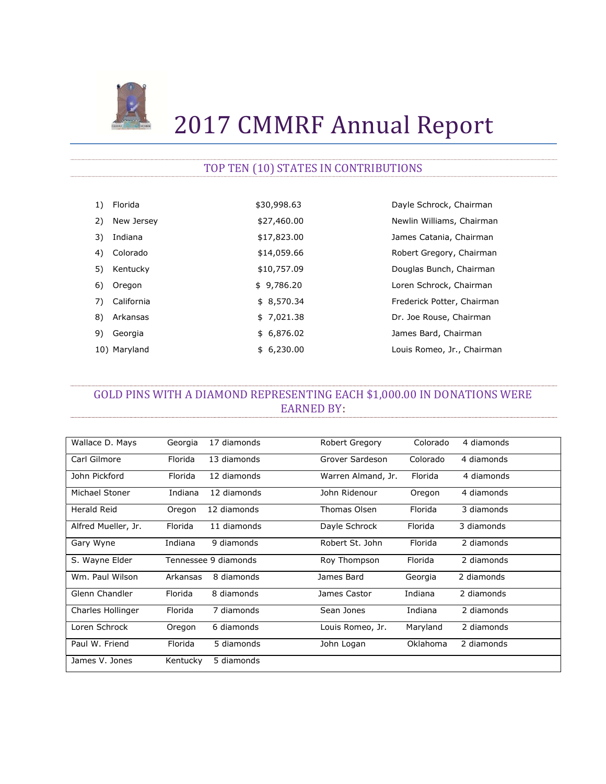

# 2017 CMMRF Annual Report

# TOP TEN (10) STATES IN CONTRIBUTIONS

| 1) | Florida      | \$30,998.63 | Dayle Schrock, Chairman    |
|----|--------------|-------------|----------------------------|
| 2) | New Jersey   | \$27,460.00 | Newlin Williams, Chairman  |
| 3) | Indiana      | \$17,823.00 | James Catania, Chairman    |
| 4) | Colorado     | \$14,059.66 | Robert Gregory, Chairman   |
| 5) | Kentucky     | \$10,757.09 | Douglas Bunch, Chairman    |
| 6) | Oregon       | \$9,786.20  | Loren Schrock, Chairman    |
| 7) | California   | \$8,570.34  | Frederick Potter, Chairman |
| 8) | Arkansas     | \$7,021.38  | Dr. Joe Rouse, Chairman    |
| 9) | Georgia      | \$6,876.02  | James Bard, Chairman       |
|    | 10) Maryland | \$6,230.00  | Louis Romeo, Jr., Chairman |

# GOLD PINS WITH A DIAMOND REPRESENTING EACH \$1,000.00 IN DONATIONS WERE EARNED BY:

| Wallace D. Mays     | Georgia  | 17 diamonds          | Robert Gregory     | Colorado | 4 diamonds |
|---------------------|----------|----------------------|--------------------|----------|------------|
| Carl Gilmore        | Florida  | 13 diamonds          | Grover Sardeson    | Colorado | 4 diamonds |
| John Pickford       | Florida  | 12 diamonds          | Warren Almand, Jr. | Florida  | 4 diamonds |
| Michael Stoner      | Indiana  | 12 diamonds          | John Ridenour      | Oregon   | 4 diamonds |
| Herald Reid         | Oregon   | 12 diamonds          | Thomas Olsen       | Florida  | 3 diamonds |
| Alfred Mueller, Jr. | Florida  | 11 diamonds          | Dayle Schrock      | Florida  | 3 diamonds |
| Gary Wyne           | Indiana  | 9 diamonds           | Robert St. John    | Florida  | 2 diamonds |
| S. Wayne Elder      |          | Tennessee 9 diamonds | Roy Thompson       | Florida  | 2 diamonds |
| Wm. Paul Wilson     | Arkansas | 8 diamonds           | James Bard         | Georgia  | 2 diamonds |
| Glenn Chandler      | Florida  | 8 diamonds           | James Castor       | Indiana  | 2 diamonds |
| Charles Hollinger   | Florida  | 7 diamonds           | Sean Jones         | Indiana  | 2 diamonds |
| Loren Schrock       | Oregon   | 6 diamonds           | Louis Romeo, Jr.   | Maryland | 2 diamonds |
| Paul W. Friend      | Florida  | 5 diamonds           | John Logan         | Oklahoma | 2 diamonds |
| James V. Jones      | Kentucky | 5 diamonds           |                    |          |            |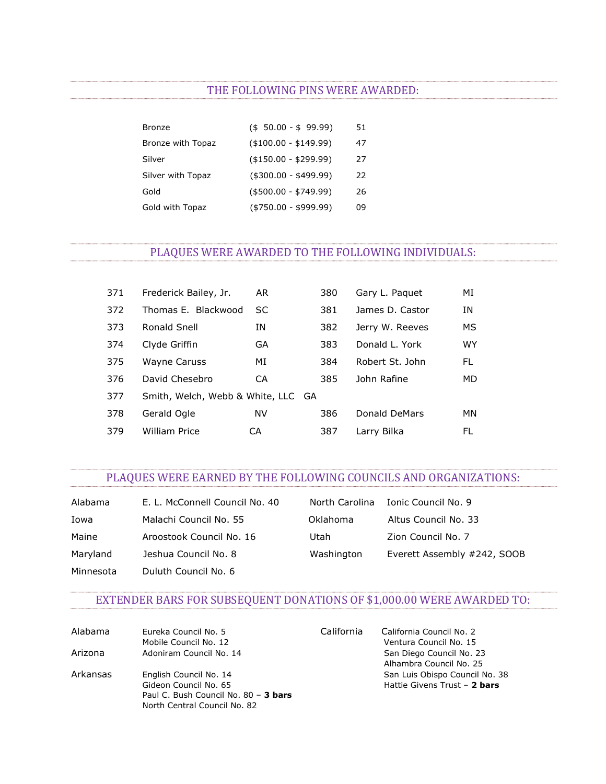#### THE FOLLOWING PINS WERE AWARDED:

| Bronze            | $($ \$ 50.00 - \$ 99.99) | 51 |
|-------------------|--------------------------|----|
| Bronze with Topaz | $($ \$100.00 - \$149.99) | 47 |
| Silver            | $($ \$150.00 - \$299.99) | 27 |
| Silver with Topaz | $($300.00 - $499.99)$    | 22 |
| Gold              | $( $500.00 - $749.99)$   | 26 |
| Gold with Topaz   | $( $750.00 - $999.99)$   | 09 |

# PLAQUES WERE AWARDED TO THE FOLLOWING INDIVIDUALS:

| 371 | Frederick Bailey, Jr.              | AR | 380 | Gary L. Paguet  | МI        |
|-----|------------------------------------|----|-----|-----------------|-----------|
| 372 | Thomas E. Blackwood                | SC | 381 | James D. Castor | ΙN        |
| 373 | Ronald Snell                       | ΙN | 382 | Jerry W. Reeves | MS        |
| 374 | Clyde Griffin                      | GA | 383 | Donald L. York  | <b>WY</b> |
| 375 | Wayne Caruss                       | MI | 384 | Robert St. John | FL.       |
| 376 | David Chesebro                     | CA | 385 | John Rafine     | MD.       |
| 377 | Smith, Welch, Webb & White, LLC GA |    |     |                 |           |
| 378 | Gerald Ogle                        | NV | 386 | Donald DeMars   | MN        |
| 379 | <b>William Price</b>               | СA | 387 | Larry Bilka     | FL        |

### PLAQUES WERE EARNED BY THE FOLLOWING COUNCILS AND ORGANIZATIONS:

| Alabama   | E. L. McConnell Council No. 40 | North Carolina | Ionic Council No. 9         |
|-----------|--------------------------------|----------------|-----------------------------|
| Iowa      | Malachi Council No. 55         | Oklahoma       | Altus Council No. 33        |
| Maine     | Aroostook Council No. 16       | Utah           | Zion Council No. 7          |
| Maryland  | Jeshua Council No. 8           | Washington     | Everett Assembly #242, SOOB |
| Minnesota | Duluth Council No. 6           |                |                             |

# EXTENDER BARS FOR SUBSEQUENT DONATIONS OF \$1,000.00 WERE AWARDED TO:

| Alabama  | Eureka Council No. 5<br>Mobile Council No. 12                                                                           | California | California Council No. 2<br>Ventura Council No. 15             |
|----------|-------------------------------------------------------------------------------------------------------------------------|------------|----------------------------------------------------------------|
| Arizona  | Adoniram Council No. 14                                                                                                 |            | San Diego Council No. 23<br>Alhambra Council No. 25            |
| Arkansas | English Council No. 14<br>Gideon Council No. 65<br>Paul C. Bush Council No. 80 - 3 bars<br>North Central Council No. 82 |            | San Luis Obispo Council No. 38<br>Hattie Givens Trust - 2 bars |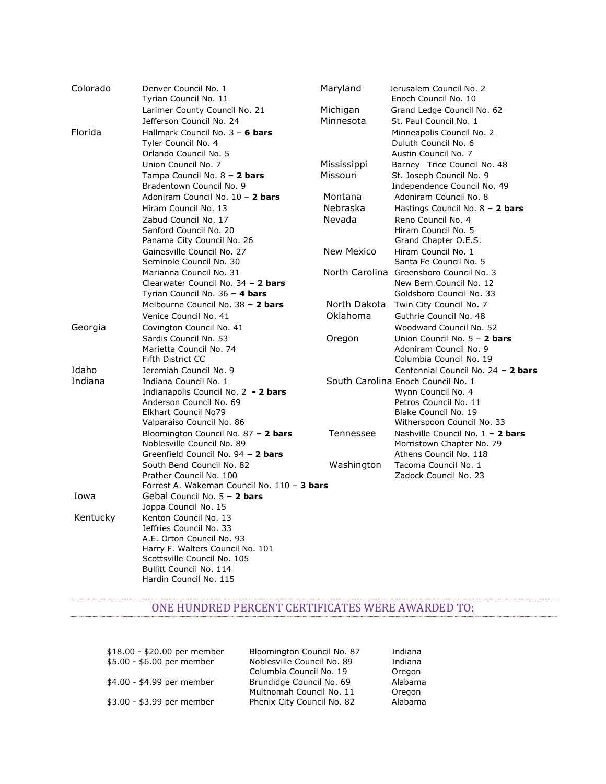| Colorado | Denver Council No. 1                | Maryland                                                                                                                                                                                                                                                                                                                                                                                                                            | Jerusalem Council No. 2                                                |
|----------|-------------------------------------|-------------------------------------------------------------------------------------------------------------------------------------------------------------------------------------------------------------------------------------------------------------------------------------------------------------------------------------------------------------------------------------------------------------------------------------|------------------------------------------------------------------------|
|          | Tyrian Council No. 11               |                                                                                                                                                                                                                                                                                                                                                                                                                                     | Enoch Council No. 10                                                   |
|          | Larimer County Council No. 21       | Michigan                                                                                                                                                                                                                                                                                                                                                                                                                            | Grand Ledge Council No. 62                                             |
|          | Jefferson Council No. 24            | Minnesota                                                                                                                                                                                                                                                                                                                                                                                                                           | St. Paul Council No. 1                                                 |
| Florida  | Hallmark Council No. 3 - 6 bars     |                                                                                                                                                                                                                                                                                                                                                                                                                                     | Minneapolis Council No. 2                                              |
|          | Tyler Council No. 4                 |                                                                                                                                                                                                                                                                                                                                                                                                                                     | Duluth Council No. 6                                                   |
|          | Orlando Council No. 5               |                                                                                                                                                                                                                                                                                                                                                                                                                                     | Austin Council No. 7                                                   |
|          | Union Council No. 7                 | Mississippi                                                                                                                                                                                                                                                                                                                                                                                                                         | Barney Trice Council No. 48                                            |
|          | Tampa Council No. 8 - 2 bars        | Missouri                                                                                                                                                                                                                                                                                                                                                                                                                            | St. Joseph Council No. 9                                               |
|          | Bradentown Council No. 9            |                                                                                                                                                                                                                                                                                                                                                                                                                                     | Independence Council No. 49                                            |
|          | Adoniram Council No. 10 - 2 bars    | Montana                                                                                                                                                                                                                                                                                                                                                                                                                             | Adoniram Council No. 8                                                 |
|          | Hiram Council No. 13                | Nebraska                                                                                                                                                                                                                                                                                                                                                                                                                            | Hastings Council No. $8 - 2$ bars                                      |
|          | Zabud Council No. 17                | Nevada                                                                                                                                                                                                                                                                                                                                                                                                                              | Reno Council No. 4                                                     |
|          | Sanford Council No. 20              |                                                                                                                                                                                                                                                                                                                                                                                                                                     | Hiram Council No. 5                                                    |
|          | Panama City Council No. 26          |                                                                                                                                                                                                                                                                                                                                                                                                                                     | Grand Chapter O.E.S.                                                   |
|          | Gainesville Council No. 27          | New Mexico                                                                                                                                                                                                                                                                                                                                                                                                                          | Hiram Council No. 1                                                    |
|          | Seminole Council No. 30             |                                                                                                                                                                                                                                                                                                                                                                                                                                     | Santa Fe Council No. 5                                                 |
|          | Marianna Council No. 31             |                                                                                                                                                                                                                                                                                                                                                                                                                                     | North Carolina Greensboro Council No. 3                                |
|          | Clearwater Council No. 34 - 2 bars  |                                                                                                                                                                                                                                                                                                                                                                                                                                     | New Bern Council No. 12                                                |
|          | Tyrian Council No. 36 - 4 bars      |                                                                                                                                                                                                                                                                                                                                                                                                                                     | Goldsboro Council No. 33                                               |
|          | Melbourne Council No. 38 - 2 bars   | North Dakota                                                                                                                                                                                                                                                                                                                                                                                                                        | Twin City Council No. 7                                                |
|          | Venice Council No. 41               | Oklahoma                                                                                                                                                                                                                                                                                                                                                                                                                            | Guthrie Council No. 48                                                 |
|          | Covington Council No. 41            |                                                                                                                                                                                                                                                                                                                                                                                                                                     | Woodward Council No. 52                                                |
|          | Sardis Council No. 53               | Oregon                                                                                                                                                                                                                                                                                                                                                                                                                              | Union Council No. 5 - 2 bars                                           |
|          | Marietta Council No. 74             |                                                                                                                                                                                                                                                                                                                                                                                                                                     | Adoniram Council No. 9                                                 |
|          | Fifth District CC                   |                                                                                                                                                                                                                                                                                                                                                                                                                                     | Columbia Council No. 19                                                |
| Idaho    | Jeremiah Council No. 9              |                                                                                                                                                                                                                                                                                                                                                                                                                                     | Centennial Council No. 24 - 2 bars                                     |
| Indiana  | Indiana Council No. 1               |                                                                                                                                                                                                                                                                                                                                                                                                                                     | South Carolina Enoch Council No. 1                                     |
|          | Indianapolis Council No. 2 - 2 bars |                                                                                                                                                                                                                                                                                                                                                                                                                                     | Wynn Council No. 4                                                     |
|          | Anderson Council No. 69             |                                                                                                                                                                                                                                                                                                                                                                                                                                     | Petros Council No. 11                                                  |
|          | Elkhart Council No79                |                                                                                                                                                                                                                                                                                                                                                                                                                                     | Blake Council No. 19                                                   |
|          |                                     |                                                                                                                                                                                                                                                                                                                                                                                                                                     | Witherspoon Council No. 33                                             |
|          |                                     |                                                                                                                                                                                                                                                                                                                                                                                                                                     | Nashville Council No. 1 - 2 bars                                       |
|          |                                     |                                                                                                                                                                                                                                                                                                                                                                                                                                     | Morristown Chapter No. 79                                              |
|          |                                     |                                                                                                                                                                                                                                                                                                                                                                                                                                     | Athens Council No. 118                                                 |
|          |                                     |                                                                                                                                                                                                                                                                                                                                                                                                                                     | Tacoma Council No. 1                                                   |
|          |                                     |                                                                                                                                                                                                                                                                                                                                                                                                                                     | Zadock Council No. 23                                                  |
|          |                                     |                                                                                                                                                                                                                                                                                                                                                                                                                                     |                                                                        |
|          |                                     |                                                                                                                                                                                                                                                                                                                                                                                                                                     |                                                                        |
|          |                                     |                                                                                                                                                                                                                                                                                                                                                                                                                                     |                                                                        |
|          |                                     |                                                                                                                                                                                                                                                                                                                                                                                                                                     |                                                                        |
|          |                                     |                                                                                                                                                                                                                                                                                                                                                                                                                                     |                                                                        |
|          |                                     |                                                                                                                                                                                                                                                                                                                                                                                                                                     |                                                                        |
|          |                                     |                                                                                                                                                                                                                                                                                                                                                                                                                                     |                                                                        |
|          |                                     |                                                                                                                                                                                                                                                                                                                                                                                                                                     |                                                                        |
|          | Hardin Council No. 115              |                                                                                                                                                                                                                                                                                                                                                                                                                                     |                                                                        |
|          | Georgia<br>Iowa<br>Kentucky         | Valparaiso Council No. 86<br>Bloomington Council No. 87 - 2 bars<br>Noblesville Council No. 89<br>Greenfield Council No. 94 - 2 bars<br>South Bend Council No. 82<br>Prather Council No. 100<br>Gebal Council No. 5 - 2 bars<br>Joppa Council No. 15<br>Kenton Council No. 13<br>Jeffries Council No. 33<br>A.E. Orton Council No. 93<br>Harry F. Walters Council No. 101<br>Scottsville Council No. 105<br>Bullitt Council No. 114 | Tennessee<br>Washington<br>Forrest A. Wakeman Council No. 110 - 3 bars |

#### ONE HUNDRED PERCENT CERTIFICATES WERE AWARDED TO:

| \$18.00 - \$20.00 per member<br>\$5.00 - \$6.00 per member | Bloomington Council No. 87<br>Noblesville Council No. 89<br>Columbia Council No. 19 | Indiana<br>Indiana          |
|------------------------------------------------------------|-------------------------------------------------------------------------------------|-----------------------------|
| \$4.00 - \$4.99 per member                                 | Brundidge Council No. 69<br>Multnomah Council No. 11                                | Oregon<br>Alabama<br>Oregon |
| \$3.00 - \$3.99 per member                                 | Phenix City Council No. 82                                                          | Alabama                     |